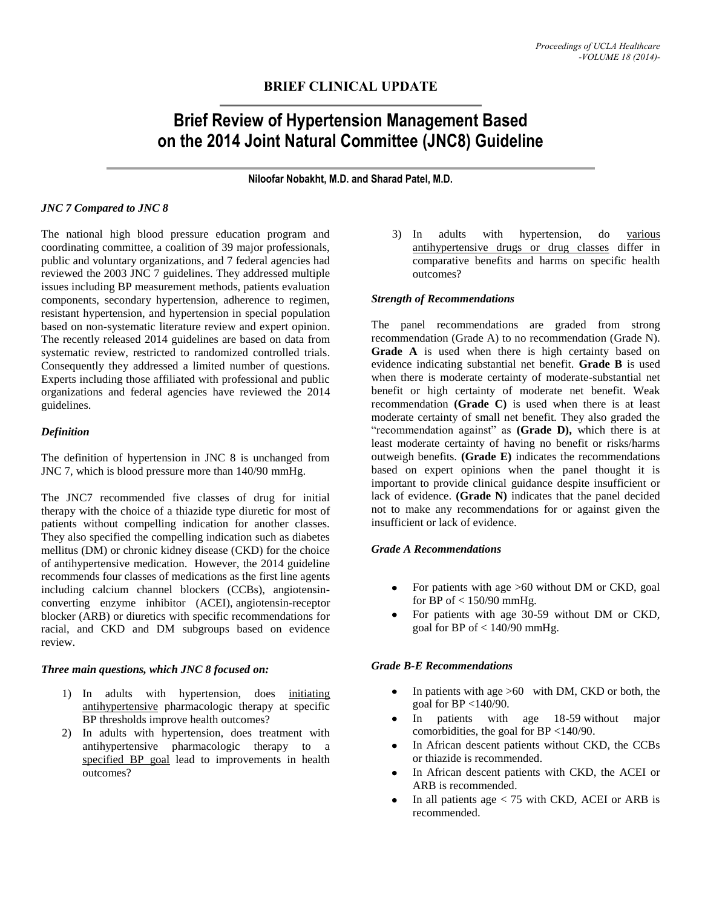# **BRIEF CLINICAL UPDATE**

# **Brief Review of Hypertension Management Based on the 2014 Joint Natural Committee (JNC8) Guideline**

**Niloofar Nobakht, M.D. and Sharad Patel, M.D.**

#### *JNC 7 Compared to JNC 8*

The national high blood pressure education program and coordinating committee, a coalition of 39 major professionals, public and voluntary organizations, and 7 federal agencies had reviewed the 2003 JNC 7 guidelines. They addressed multiple issues including BP measurement methods, patients evaluation components, secondary hypertension, adherence to regimen, resistant hypertension, and hypertension in special population based on non-systematic literature review and expert opinion. The recently released 2014 guidelines are based on data from systematic review, restricted to randomized controlled trials. Consequently they addressed a limited number of questions. Experts including those affiliated with professional and public organizations and federal agencies have reviewed the 2014 guidelines.

# *Definition*

The definition of hypertension in JNC 8 is unchanged from JNC 7, which is blood pressure more than 140/90 mmHg.

The JNC7 recommended five classes of drug for initial therapy with the choice of a thiazide type diuretic for most of patients without compelling indication for another classes. They also specified the compelling indication such as diabetes mellitus (DM) or chronic kidney disease (CKD) for the choice of antihypertensive medication. However, the 2014 guideline recommends four classes of medications as the first line agents including calcium channel blockers (CCBs), angiotensinconverting enzyme inhibitor (ACEI), angiotensin-receptor blocker (ARB) or diuretics with specific recommendations for racial, and CKD and DM subgroups based on evidence review.

#### *Three main questions, which JNC 8 focused on:*

- 1) In adults with hypertension, does initiating antihypertensive pharmacologic therapy at specific BP thresholds improve health outcomes?
- 2) In adults with hypertension, does treatment with antihypertensive pharmacologic therapy to a specified BP goal lead to improvements in health outcomes?

3) In adults with hypertension, do various antihypertensive drugs or drug classes differ in comparative benefits and harms on specific health outcomes?

# *Strength of Recommendations*

The panel recommendations are graded from strong recommendation (Grade A) to no recommendation (Grade N). Grade A is used when there is high certainty based on evidence indicating substantial net benefit. **Grade B** is used when there is moderate certainty of moderate-substantial net benefit or high certainty of moderate net benefit. Weak recommendation **(Grade C)** is used when there is at least moderate certainty of small net benefit. They also graded the "recommendation against" as **(Grade D),** which there is at least moderate certainty of having no benefit or risks/harms outweigh benefits. **(Grade E)** indicates the recommendations based on expert opinions when the panel thought it is important to provide clinical guidance despite insufficient or lack of evidence. **(Grade N)** indicates that the panel decided not to make any recommendations for or against given the insufficient or lack of evidence.

#### *Grade A Recommendations*

- For patients with age >60 without DM or CKD, goal for BP of  $< 150/90$  mmHg.
- For patients with age 30-59 without DM or CKD, goal for BP of  $< 140/90$  mmHg.

#### *Grade B-E Recommendations*

- In patients with age >60 with DM, CKD or both, the goal for BP <140/90.
- In patients with age 18-59 without major comorbidities, the goal for BP <140/90.
- In African descent patients without CKD, the CCBs or thiazide is recommended.
- In African descent patients with CKD, the ACEI or ARB is recommended.
- In all patients age < 75 with CKD, ACEI or ARB is recommended.